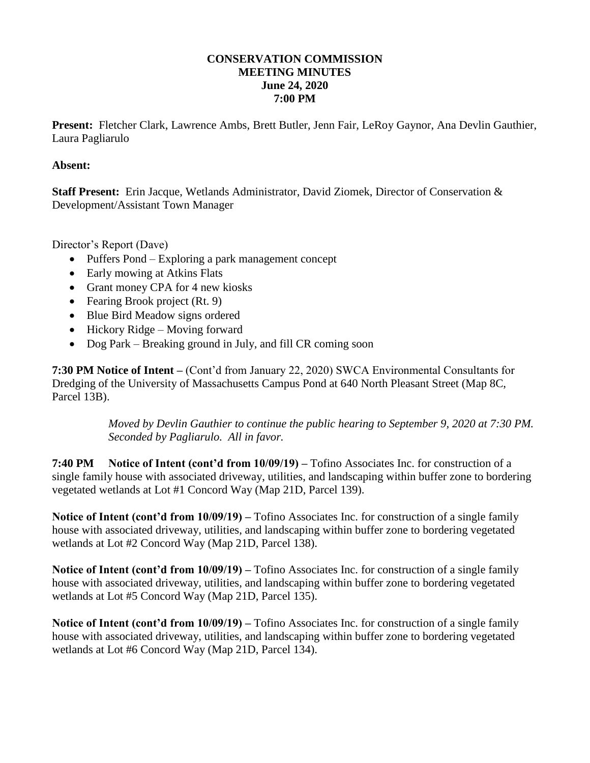## **CONSERVATION COMMISSION MEETING MINUTES June 24, 2020 7:00 PM**

**Present:** Fletcher Clark, Lawrence Ambs, Brett Butler, Jenn Fair, LeRoy Gaynor, Ana Devlin Gauthier, Laura Pagliarulo

## **Absent:**

**Staff Present:** Erin Jacque, Wetlands Administrator, David Ziomek, Director of Conservation & Development/Assistant Town Manager

Director's Report (Dave)

- Puffers Pond Exploring a park management concept
- Early mowing at Atkins Flats
- Grant money CPA for 4 new kiosks
- Fearing Brook project (Rt. 9)
- Blue Bird Meadow signs ordered
- $\bullet$  Hickory Ridge Moving forward
- Dog Park Breaking ground in July, and fill CR coming soon

**7:30 PM Notice of Intent –** (Cont'd from January 22, 2020) SWCA Environmental Consultants for Dredging of the University of Massachusetts Campus Pond at 640 North Pleasant Street (Map 8C, Parcel 13B).

> *Moved by Devlin Gauthier to continue the public hearing to September 9, 2020 at 7:30 PM. Seconded by Pagliarulo. All in favor.*

**7:40 PM Notice of Intent (cont'd from 10/09/19) –** Tofino Associates Inc. for construction of a single family house with associated driveway, utilities, and landscaping within buffer zone to bordering vegetated wetlands at Lot #1 Concord Way (Map 21D, Parcel 139).

**Notice of Intent (cont'd from 10/09/19) –** Tofino Associates Inc. for construction of a single family house with associated driveway, utilities, and landscaping within buffer zone to bordering vegetated wetlands at Lot #2 Concord Way (Map 21D, Parcel 138).

**Notice of Intent (cont'd from 10/09/19) –** Tofino Associates Inc. for construction of a single family house with associated driveway, utilities, and landscaping within buffer zone to bordering vegetated wetlands at Lot #5 Concord Way (Map 21D, Parcel 135).

**Notice of Intent (cont'd from 10/09/19) –** Tofino Associates Inc. for construction of a single family house with associated driveway, utilities, and landscaping within buffer zone to bordering vegetated wetlands at Lot #6 Concord Way (Map 21D, Parcel 134).